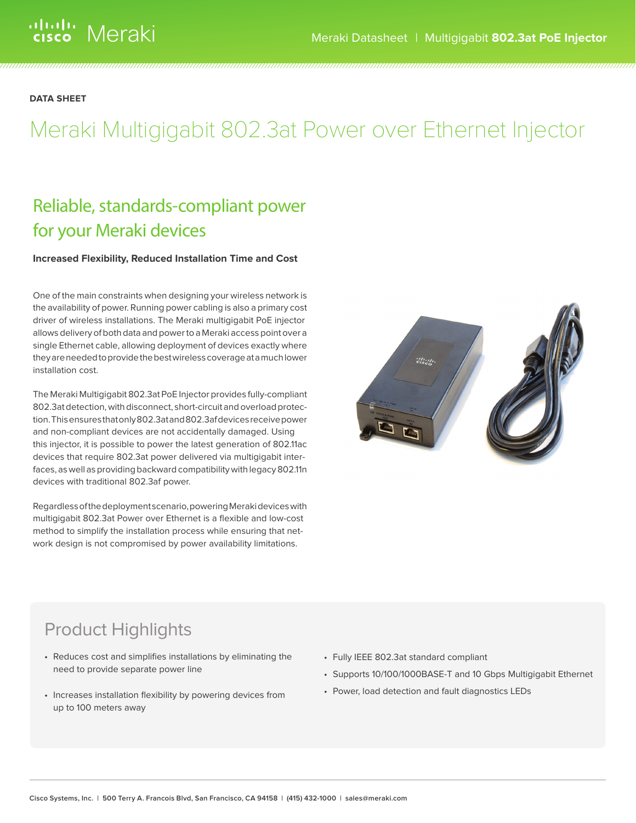**DATA SHEET**

# Meraki Multigigabit 802.3at Power over Ethernet Injector

# Reliable, standards-compliant power for your Meraki devices

# **Increased Flexibility, Reduced Installation Time and Cost**

One of the main constraints when designing your wireless network is the availability of power. Running power cabling is also a primary cost driver of wireless installations. The Meraki multigigabit PoE injector allows delivery of both data and power to a Meraki access point over a single Ethernet cable, allowing deployment of devices exactly where they are needed to provide the best wireless coverage at a much lower installation cost.

The Meraki Multigigabit 802.3at PoE Injector provides fully-compliant 802.3at detection, with disconnect, short-circuit and overload protection. This ensures that only 802.3at and 802.3af devices receive power and non-compliant devices are not accidentally damaged. Using this injector, it is possible to power the latest generation of 802.11ac devices that require 802.3at power delivered via multigigabit interfaces, as well as providing backward compatibility with legacy 802.11n devices with traditional 802.3af power.

Regardless of the deployment scenario, powering Meraki devices with multigigabit 802.3at Power over Ethernet is a flexible and low-cost method to simplify the installation process while ensuring that network design is not compromised by power availability limitations.



# Product Highlights

- Reduces cost and simplifies installations by eliminating the need to provide separate power line
- Increases installation flexibility by powering devices from up to 100 meters away
- Fully IEEE 802.3at standard compliant
- Supports 10/100/1000BASE-T and 10 Gbps Multigigabit Ethernet
- Power, load detection and fault diagnostics LEDs